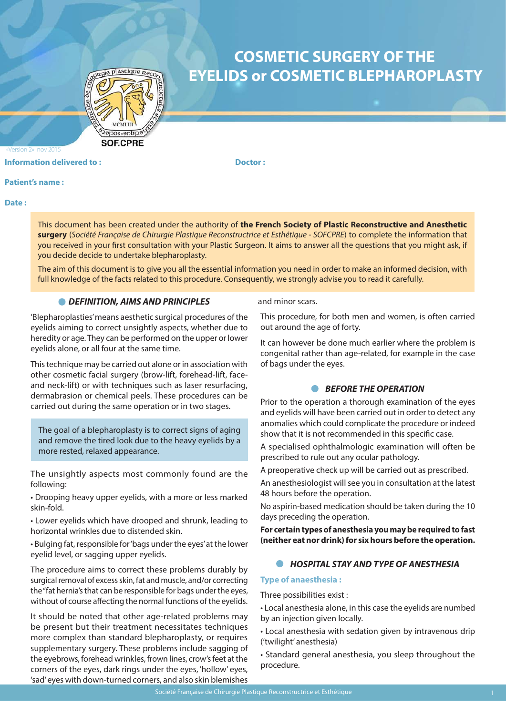

# **COSMETIC SURGERY OF THE EYELIDS or COSMETIC BLEPHAROPLASTY**

**Information delivered to : The Contract of the Contract Operation Contract Doctor :** 

### **Patient's name :**

Version 2» nov 2015

**Date :** 

This document has been created under the authority of **the French Society of Plastic Reconstructive and Anesthetic surgery** (*Société Française de Chirurgie Plastique Reconstructrice et Esthétique - SOFCPRE*) to complete the information that you received in your first consultation with your Plastic Surgeon. It aims to answer all the questions that you might ask, if you decide decide to undertake blepharoplasty.

The aim of this document is to give you all the essential information you need in order to make an informed decision, with full knowledge of the facts related to this procedure. Consequently, we strongly advise you to read it carefully.

## *DEFINITION, AIMS AND PRINCIPLES*

'Blepharoplasties' means aesthetic surgical procedures of the eyelids aiming to correct unsightly aspects, whether due to heredity or age. They can be performed on the upper or lower eyelids alone, or all four at the same time.

This technique may be carried out alone or in association with other cosmetic facial surgery (brow-lift, forehead-lift, faceand neck-lift) or with techniques such as laser resurfacing, dermabrasion or chemical peels. These procedures can be carried out during the same operation or in two stages.

The goal of a blepharoplasty is to correct signs of aging and remove the tired look due to the heavy eyelids by a more rested, relaxed appearance.

The unsightly aspects most commonly found are the following:

• Drooping heavy upper eyelids, with a more or less marked skin-fold.

• Lower eyelids which have drooped and shrunk, leading to horizontal wrinkles due to distended skin.

• Bulging fat, responsible for 'bags under the eyes' at the lower eyelid level, or sagging upper eyelids.

The procedure aims to correct these problems durably by surgical removal of excess skin, fat and muscle, and/or correcting the "fat hernia's that can be responsible for bags under the eyes, without of course affecting the normal functions of the eyelids.

It should be noted that other age-related problems may be present but their treatment necessitates techniques more complex than standard blepharoplasty, or requires supplementary surgery. These problems include sagging of the eyebrows, forehead wrinkles, frown lines, crow's feet at the corners of the eyes, dark rings under the eyes, 'hollow' eyes, 'sad' eyes with down-turned corners, and also skin blemishes

and minor scars.

This procedure, for both men and women, is often carried out around the age of forty.

It can however be done much earlier where the problem is congenital rather than age-related, for example in the case of bags under the eyes.

# *BEFORE THE OPERATION*

Prior to the operation a thorough examination of the eyes and eyelids will have been carried out in order to detect any anomalies which could complicate the procedure or indeed show that it is not recommended in this specific case.

A specialised ophthalmologic examination will often be prescribed to rule out any ocular pathology.

A preoperative check up will be carried out as prescribed.

An anesthesiologist will see you in consultation at the latest 48 hours before the operation.

No aspirin-based medication should be taken during the 10 days preceding the operation.

**For certain types of anesthesia you may be required to fast (neither eat nor drink) for six hours before the operation.**

# *HOSPITAL STAY AND TYPE OF ANESTHESIA*

## **Type of anaesthesia :**

Three possibilities exist :

• Local anesthesia alone, in this case the eyelids are numbed by an injection given locally.

• Local anesthesia with sedation given by intravenous drip ('twilight' anesthesia)

• Standard general anesthesia, you sleep throughout the procedure.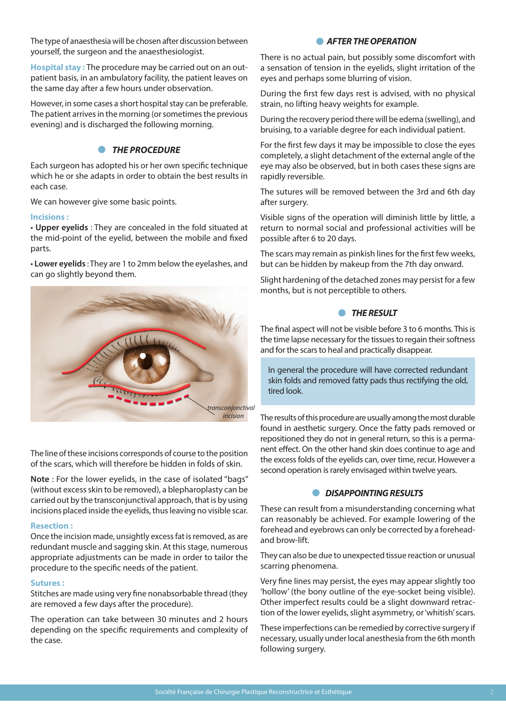The type of anaesthesia will be chosen after discussion between yourself, the surgeon and the anaesthesiologist.

**Hospital stay :** The procedure may be carried out on an outpatient basis, in an ambulatory facility, the patient leaves on the same day after a few hours under observation.

However, in some cases a short hospital stay can be preferable. The patient arrives in the morning (or sometimes the previous evening) and is discharged the following morning.

# **• THE PROCEDURE**

Each surgeon has adopted his or her own specific technique which he or she adapts in order to obtain the best results in each case.

We can however give some basic points.

## **Incisions :**

• **Upper eyelids** : They are concealed in the fold situated at the mid-point of the eyelid, between the mobile and fixed parts.

• **Lower eyelids** : They are 1 to 2mm below the eyelashes, and can go slightly beyond them.



The line of these incisions corresponds of course to the position of the scars, which will therefore be hidden in folds of skin.

**Note** : For the lower eyelids, in the case of isolated "bags" (without excess skin to be removed), a blepharoplasty can be carried out by the transconjunctival approach, that is by using incisions placed inside the eyelids, thus leaving no visible scar.

#### **Resection :**

Once the incision made, unsightly excess fat is removed, as are redundant muscle and sagging skin. At this stage, numerous appropriate adjustments can be made in order to tailor the procedure to the specific needs of the patient.

#### **Sutures :**

Stitches are made using very fine nonabsorbable thread (they are removed a few days after the procedure).

The operation can take between 30 minutes and 2 hours depending on the specific requirements and complexity of the case.

# **• AFTER THE OPERATION**

There is no actual pain, but possibly some discomfort with a sensation of tension in the eyelids, slight irritation of the eyes and perhaps some blurring of vision.

During the first few days rest is advised, with no physical strain, no lifting heavy weights for example.

During the recovery period there will be edema (swelling), and bruising, to a variable degree for each individual patient.

For the first few days it may be impossible to close the eyes completely, a slight detachment of the external angle of the eye may also be observed, but in both cases these signs are rapidly reversible.

The sutures will be removed between the 3rd and 6th day after surgery.

Visible signs of the operation will diminish little by little, a return to normal social and professional activities will be possible after 6 to 20 days.

The scars may remain as pinkish lines for the first few weeks, but can be hidden by makeup from the 7th day onward.

Slight hardening of the detached zones may persist for a few months, but is not perceptible to others.

# *<u>A</u> THE RESULT*

The final aspect will not be visible before 3 to 6 months. This is the time lapse necessary for the tissues to regain their softness and for the scars to heal and practically disappear.

In general the procedure will have corrected redundant skin folds and removed fatty pads thus rectifying the old, tired look.

The results of this procedure are usually among the most durable found in aesthetic surgery. Once the fatty pads removed or repositioned they do not in general return, so this is a permanent effect. On the other hand skin does continue to age and the excess folds of the eyelids can, over time, recur. However a second operation is rarely envisaged within twelve years.

# *DISAPPOINTING RESULTS*

These can result from a misunderstanding concerning what can reasonably be achieved. For example lowering of the forehead and eyebrows can only be corrected by a foreheadand brow-lift.

They can also be due to unexpected tissue reaction or unusual scarring phenomena.

Very fine lines may persist, the eyes may appear slightly too 'hollow' (the bony outline of the eye-socket being visible). Other imperfect results could be a slight downward retraction of the lower eyelids, slight asymmetry, or 'whitish' scars.

These imperfections can be remedied by corrective surgery if necessary, usually under local anesthesia from the 6th month following surgery.